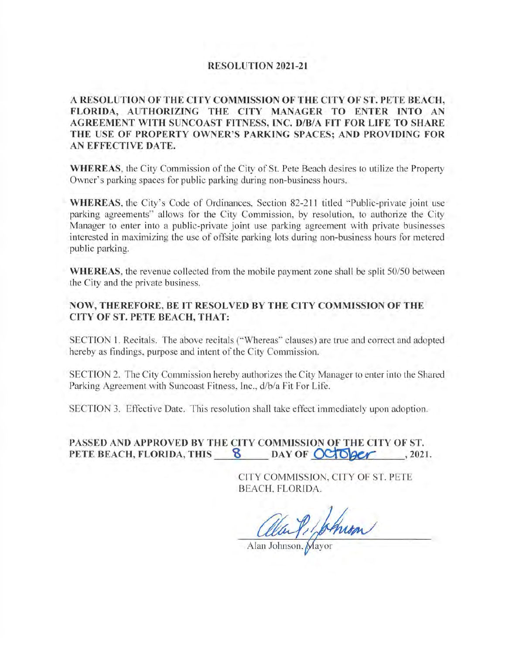## **RESOLUTION 2021-21**

**A RESOLUTION OF THE CITY COMMISSION OF THE CITY OF ST. PETE BEACH, FLORIDA, AUTHORIZING THE CITY MANAGER TO ENTER INTO AN AGREEMENT WITH SUNCOAST FITNESS, INC. D/B/A FIT FOR LIFE TO SHARE**  THE USE OF PROPERTY OWNER'S PARKING SPACES; AND PROVIDING FOR **AN EFFECTIVE DATE.** 

**WHEREAS,** the City Commission of the City of St. Pete Beach desires to utilize the Property Owner's parking spaces for public parking during non-business hours.

**WHEREAS,** the City's Code of Ordinances, Section 82-211 titled "Public-private joint use parking agreements" allows for the City Commission, by resolution, to authorize the City Manager to enter into a public-private joint use parking agreement with private businesses interested in maximizing the use of offsite parking lots during non-business hours for metered public parking.

**WHEREAS,** the revenue collected from the mobile payment zone shall be split 50/50 between the City and the private business.

## **NOW, THEREFORE, BE IT RESOLVED BY THE CITY COMMISSION OF THE CITY OF ST. PETE BEACH, THAT:**

SECTION 1. Recitals. The above recitals ("Whereas" clauses) are true and correct and adopted hereby as findings, purpose and intent of the City Commission.

SECTION 2. The City Commission hereby authorizes the City Manager to enter into the Shared Parking Agreement with Suncoast Fitness, Inc., d/b/a Fit For Life.

SECTION 3. Effective Date. This resolution shall take effect immediately upon adoption.

## **PASSED AND APPROVED BY THE CITY COMMISSION OF THE CITY OF ST. PETE BEACH, FLORIDA, THIS 8 DAY OF OCTOBER , 2021.**

CITY COMMISS[ON, CITY OF ST. PETE BEACH, FLORIDA.

alan Pilphrom